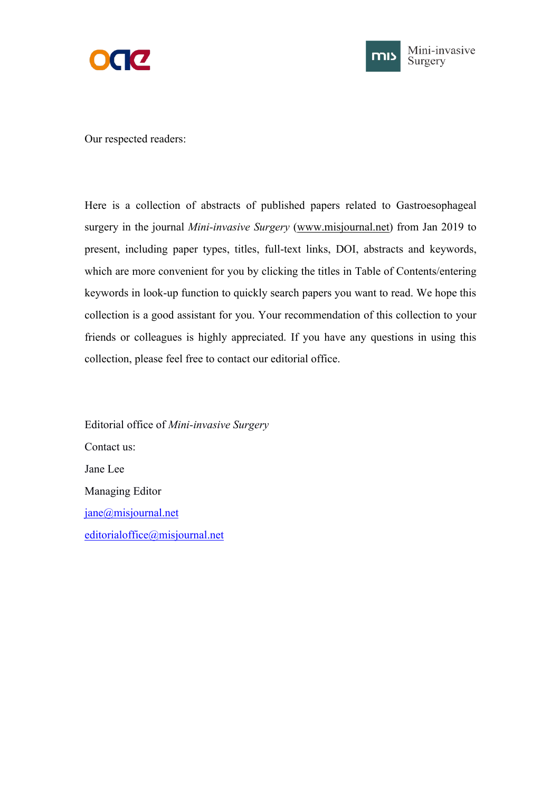



Our respected readers:

Here is a collection of abstracts of published papers related to Gastroesophageal surgery in the journal*Mini-invasive Surgery* ([www.misjournal.net](http://www.misjournal.net)) from Jan 2019 to present, including paper types, titles, full-text links, DOI, abstracts and keywords, which are more convenient for you by clicking the titles in Table of Contents/entering keywords in look-up function to quickly search papers you want to read. We hope this collection is a good assistant for you. Your recommendation of this collection to your friends or colleagues is highly appreciated. If you have any questions in using this collection, please feel free to contact our editorial office.

Editorial office of *Mini-invasive Surgery* Contact us: Jane Lee Managing Editor [jane@misjournal.net](mailto:jane@misjournal.net) [editorialoffice@misjournal.net](mailto:editorialoffice@misjournal.net)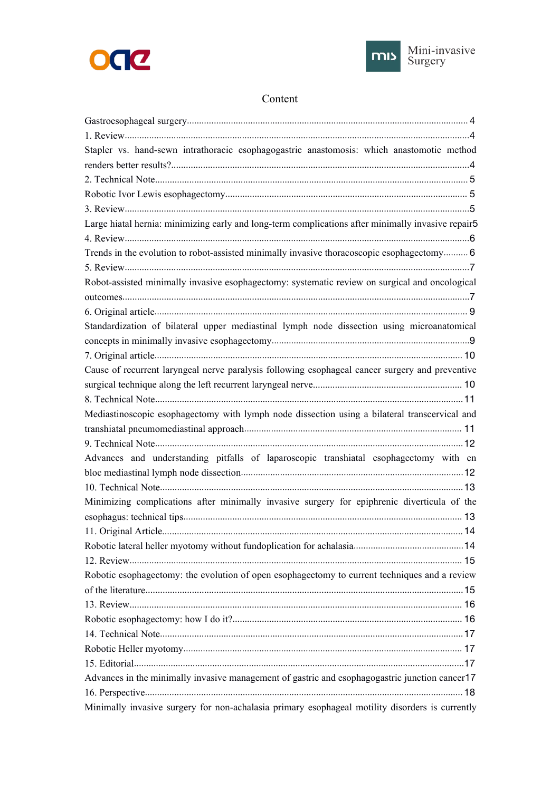



# Content

| Stapler vs. hand-sewn intrathoracic esophagogastric anastomosis: which anastomotic method          |  |
|----------------------------------------------------------------------------------------------------|--|
|                                                                                                    |  |
|                                                                                                    |  |
|                                                                                                    |  |
|                                                                                                    |  |
| Large hiatal hernia: minimizing early and long-term complications after minimally invasive repair5 |  |
|                                                                                                    |  |
| Trends in the evolution to robot-assisted minimally invasive thoracoscopic esophagectomy 6         |  |
|                                                                                                    |  |
| Robot-assisted minimally invasive esophagectomy: systematic review on surgical and oncological     |  |
|                                                                                                    |  |
|                                                                                                    |  |
| Standardization of bilateral upper mediastinal lymph node dissection using microanatomical         |  |
|                                                                                                    |  |
|                                                                                                    |  |
| Cause of recurrent laryngeal nerve paralysis following esophageal cancer surgery and preventive    |  |
|                                                                                                    |  |
|                                                                                                    |  |
| Mediastinoscopic esophagectomy with lymph node dissection using a bilateral transcervical and      |  |
|                                                                                                    |  |
|                                                                                                    |  |
| Advances and understanding pitfalls of laparoscopic transhiatal esophagectomy with en              |  |
|                                                                                                    |  |
|                                                                                                    |  |
| Minimizing complications after minimally invasive surgery for epiphrenic diverticula of the        |  |
|                                                                                                    |  |
|                                                                                                    |  |
|                                                                                                    |  |
|                                                                                                    |  |
| Robotic esophagectomy: the evolution of open esophagectomy to current techniques and a review      |  |
|                                                                                                    |  |
|                                                                                                    |  |
|                                                                                                    |  |
|                                                                                                    |  |
|                                                                                                    |  |
|                                                                                                    |  |
| Advances in the minimally invasive management of gastric and esophagogastric junction cancer 17    |  |
|                                                                                                    |  |
| Minimally invasive surgery for non-achalasia primary esophageal motility disorders is currently    |  |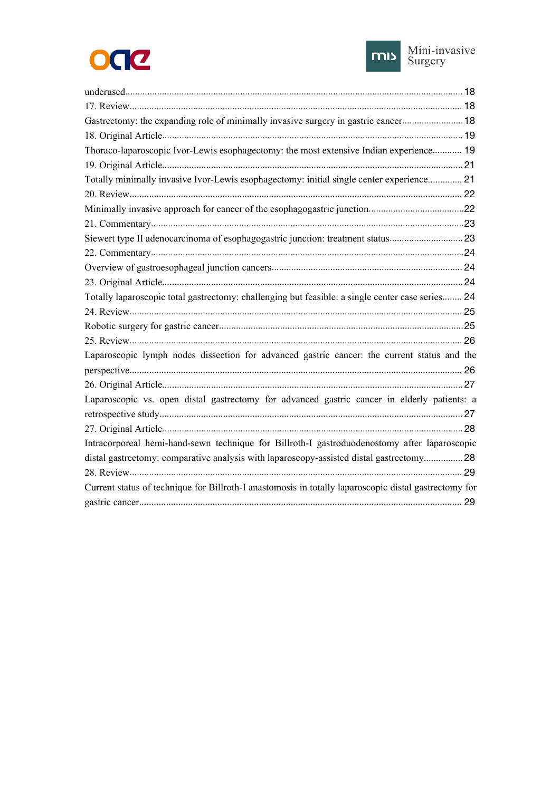



| Gastrectomy: the expanding role of minimally invasive surgery in gastric cancer 18                    |  |
|-------------------------------------------------------------------------------------------------------|--|
|                                                                                                       |  |
| Thoraco-laparoscopic Ivor-Lewis esophagectomy: the most extensive Indian experience 19                |  |
|                                                                                                       |  |
| Totally minimally invasive Ivor-Lewis esophagectomy: initial single center experience 21              |  |
|                                                                                                       |  |
|                                                                                                       |  |
|                                                                                                       |  |
|                                                                                                       |  |
|                                                                                                       |  |
|                                                                                                       |  |
|                                                                                                       |  |
| Totally laparoscopic total gastrectomy: challenging but feasible: a single center case series 24      |  |
|                                                                                                       |  |
|                                                                                                       |  |
|                                                                                                       |  |
| Laparoscopic lymph nodes dissection for advanced gastric cancer: the current status and the           |  |
|                                                                                                       |  |
|                                                                                                       |  |
| Laparoscopic vs. open distal gastrectomy for advanced gastric cancer in elderly patients: a           |  |
|                                                                                                       |  |
|                                                                                                       |  |
| Intracorporeal hemi-hand-sewn technique for Billroth-I gastroduodenostomy after laparoscopic          |  |
| distal gastrectomy: comparative analysis with laparoscopy-assisted distal gastrectomy28               |  |
|                                                                                                       |  |
| Current status of technique for Billroth-I anastomosis in totally laparoscopic distal gastrectomy for |  |
|                                                                                                       |  |
|                                                                                                       |  |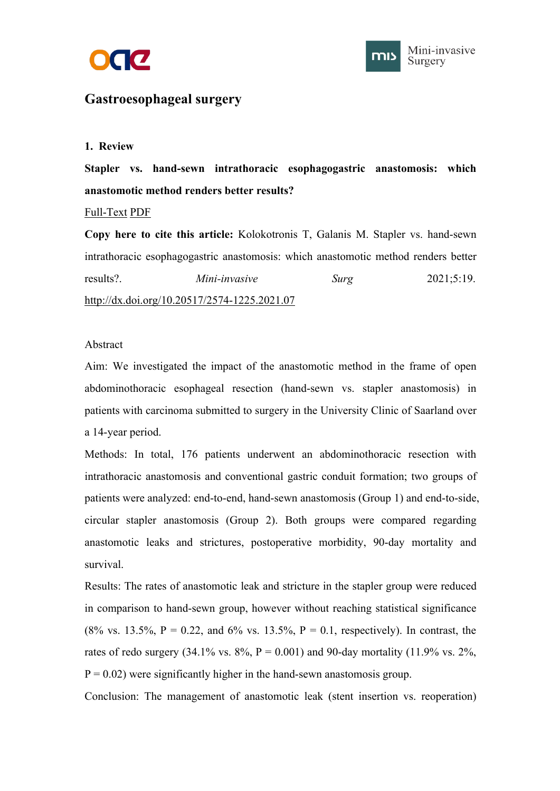



# <span id="page-3-1"></span><span id="page-3-0"></span>**Gastroesophageal surgery**

#### **1. Review**

**Stapler vs. hand-sewn intrathoracic esophagogastric anastomosis: which anastomotic method renders better results?**

[Full-Text](https://misjournal.net/article/view/4005) [PDF](https://oaepublishstorage.blob.core.windows.net/f73cc273-d576-47d8-ad51-8a6d675e7675/4005.pdf)

**Copy here to cite this article:** Kolokotronis T, Galanis M. Stapler vs.hand-sewn intrathoracic esophagogastric anastomosis: which anastomotic method renders better results?. *Mini-invasive Surg* 2021;5:19. <http://dx.doi.org/10.20517/2574-1225.2021.07>

# Abstract

Aim: We investigated the impact of the anastomotic method in the frame of open abdominothoracic esophageal resection (hand-sewn vs. stapler anastomosis) in patients with carcinoma submitted to surgery in the University Clinic of Saarland over a 14-year period.

Methods: In total, 176 patients underwent an abdominothoracic resection with intrathoracic anastomosis and conventional gastric conduit formation; two groups of patients were analyzed: end-to-end, hand-sewn anastomosis (Group 1) and end-to-side, circular stapler anastomosis (Group 2). Both groups were compared regarding anastomotic leaks and strictures, postoperative morbidity, 90-day mortality and survival.

Results: The rates of anastomotic leak and stricture in the stapler group were reduced in comparison to hand-sewn group, however without reaching statistical significance (8% vs. 13.5%, P = 0.22, and 6% vs. 13.5%, P = 0.1, respectively). In contrast, the rates of redo surgery  $(34.1\% \text{ vs. } 8\%, P = 0.001)$  and 90-day mortality  $(11.9\% \text{ vs. } 2\%,$  $P = 0.02$ ) were significantly higher in the hand-sewn anastomosis group.

Conclusion: The management of anastomotic leak (stent insertion vs. reoperation)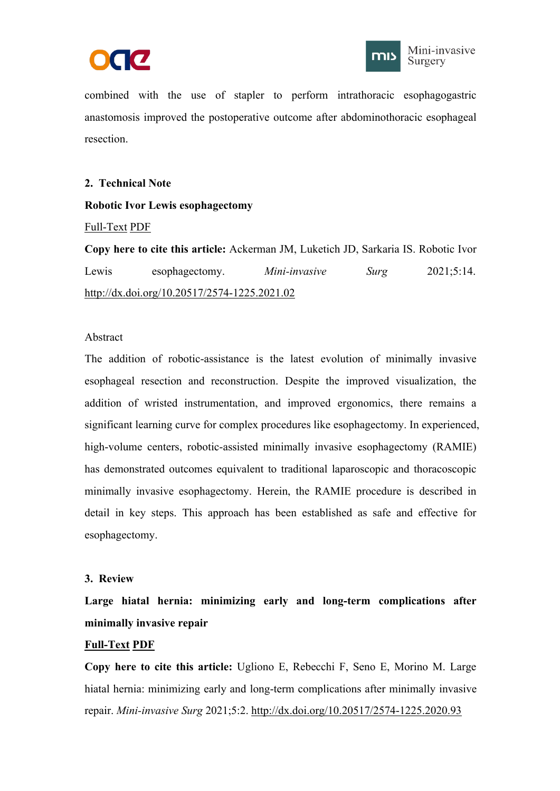



<span id="page-4-1"></span><span id="page-4-0"></span>combined with the use of stapler to perform intrathoracic esophagogastric anastomosis improved the postoperative outcome after abdominothoracic esophageal resection.

#### **2. Technical Note**

#### **Robotic Ivor Lewis esophagectomy**

#### [Full-Text](https://misjournal.net/article/view/3979) [PDF](https://oaepublishstorage.blob.core.windows.net/c4439b27-e950-4f1b-be2c-0f716c1ee435/3979.pdf)

**Copy here to cite this article:** Ackerman JM, Luketich JD, Sarkaria IS. Robotic Ivor Lewis esophagectomy. *Mini-invasive Surg* 2021;5:14. <http://dx.doi.org/10.20517/2574-1225.2021.02>

#### Abstract

The addition of robotic-assistance is the latest evolution of minimally invasive esophageal resection and reconstruction. Despite the improved visualization, the addition of wristed instrumentation, and improved ergonomics, there remains a significant learning curve for complex procedures like esophagectomy. In experienced, high-volume centers, robotic-assisted minimally invasive esophagectomy (RAMIE) has demonstrated outcomes equivalent to traditional laparoscopic and thoracoscopic minimally invasive esophagectomy. Herein, the RAMIE procedure is described in detail in key steps. This approach has been established as safe and effective for esophagectomy.

#### **3. Review**

**Large hiatalhernia: minimizing early and long-term complications after minimally invasive repair**

# **[Full-Text](https://misjournal.net/article/view/3858) [PDF](https://oaepublishstorage.blob.core.windows.net/94abac4c-9de5-4b2e-9765-3b559d8ff02d/3858.pdf)**

**Copy here to cite this article:** Ugliono E, Rebecchi F, Seno E, Morino M. Large hiatal hernia: minimizing early and long-term complications after minimally invasive repair. *Mini-invasive Surg* 2021;5:2. <http://dx.doi.org/10.20517/2574-1225.2020.93>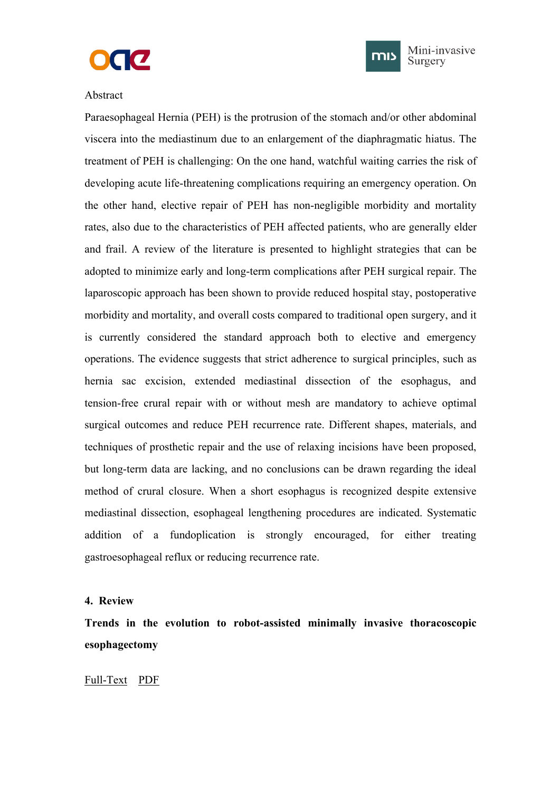



#### <span id="page-5-1"></span><span id="page-5-0"></span>Abstract

Paraesophageal Hernia (PEH) is the protrusion of the stomach and/or other abdominal viscera into the mediastinum due to an enlargement of the diaphragmatic hiatus. The treatment of PEH is challenging: On the one hand, watchful waiting carries the risk of developing acute life-threatening complications requiring an emergency operation. On the other hand, elective repair of PEH has non-negligible morbidity and mortality rates, also due to the characteristics of PEH affected patients, who are generally elder and frail. A review of the literature is presented to highlight strategies that can be adopted to minimize early and long-term complications after PEH surgical repair. The laparoscopic approach has been shown to provide reduced hospital stay, postoperative morbidity and mortality, and overall costs compared to traditional open surgery, and it is currently considered the standard approach both to elective and emergency operations. The evidence suggests that strict adherence to surgical principles, such as hernia sac excision, extended mediastinal dissection of the esophagus, and tension-free crural repair with or without mesh are mandatory to achieve optimal surgical outcomes and reduce PEH recurrence rate. Different shapes, materials, and techniques of prosthetic repair and the use of relaxing incisions have been proposed, but long-term data are lacking, and no conclusions can be drawn regarding the ideal method of crural closure. When a short esophagus is recognized despite extensive mediastinal dissection, esophageal lengthening procedures are indicated. Systematic addition of a fundoplication is strongly encouraged, for either treating gastroesophageal reflux or reducing recurrence rate.

#### **4. Review**

**Trends in the evolution to robot-assisted minimally invasive thoracoscopic esophagectomy**

#### [Full-Text](https://misjournal.net/article/view/3561) [PDF](https://oaepublishstorage.blob.core.windows.net/2f3f7cf3-942d-474e-b795-91ecd5ef1b6a/3561.pdf)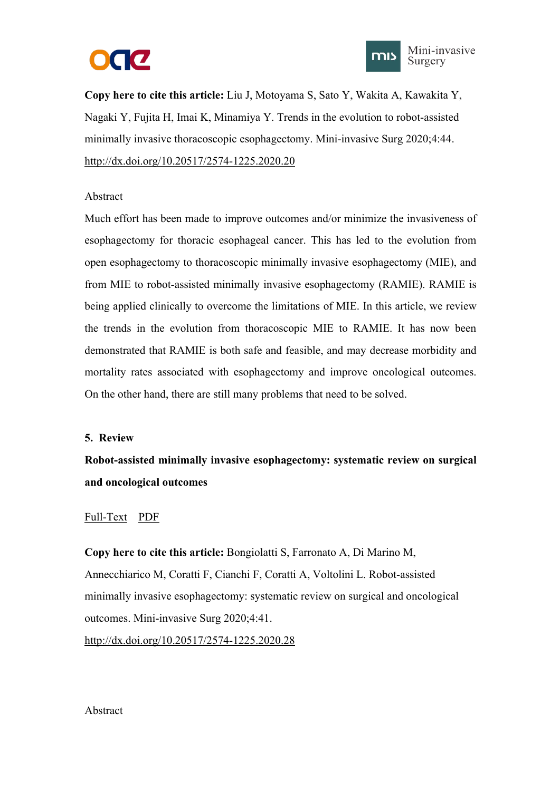



<span id="page-6-1"></span><span id="page-6-0"></span>**Copy here to cite this article:** Liu J, Motoyama S, Sato Y, Wakita A, Kawakita Y, Nagaki Y, Fujita H, Imai K, Minamiya Y. Trends in the evolution to robot-assisted minimally invasive thoracoscopic esophagectomy. Mini-invasive Surg 2020;4:44. <http://dx.doi.org/10.20517/2574-1225.2020.20>

#### Abstract

Much effort has been made to improve outcomes and/or minimize the invasiveness of esophagectomy for thoracic esophageal cancer. This has led to the evolution from open esophagectomy to thoracoscopic minimally invasive esophagectomy (MIE), and from MIE to robot-assisted minimally invasive esophagectomy (RAMIE). RAMIE is being applied clinically to overcome the limitations of MIE. In this article, we review the trends in the evolution from thoracoscopic MIE to RAMIE. It has now been demonstrated that RAMIE is both safe and feasible, and may decrease morbidity and mortality rates associated with esophagectomy and improve oncological outcomes. On the other hand, there are still many problems that need to be solved.

#### **5. Review**

**Robot-assisted minimally invasive esophagectomy: systematic review on surgical and oncological outcomes**

#### [Full-Text](https://misjournal.net/article/view/3546) [PDF](https://oaepublishstorage.blob.core.windows.net/338cfdfb-2af2-4210-87f9-f5455e11a52c/3546.pdf)

**Copy here to cite this article:** Bongiolatti S, Farronato A, Di Marino M, Annecchiarico M, Coratti F, Cianchi F, Coratti A, Voltolini L. Robot-assisted minimally invasive esophagectomy: systematic review on surgical and oncological outcomes. Mini-invasive Surg 2020;4:41.

<http://dx.doi.org/10.20517/2574-1225.2020.28>

#### Abstract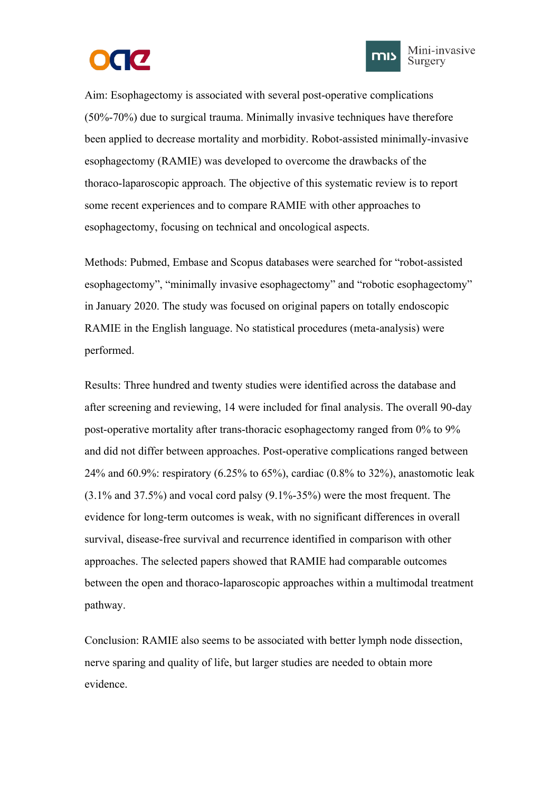



Aim: Esophagectomy is associated with several post-operative complications (50%-70%) due to surgical trauma. Minimally invasive techniques have therefore been applied to decrease mortality and morbidity. Robot-assisted minimally-invasive esophagectomy (RAMIE) was developed to overcome the drawbacks of the thoraco-laparoscopic approach. The objective of this systematic review is to report some recent experiences and to compare RAMIE with other approaches to esophagectomy, focusing on technical and oncological aspects.

Methods: Pubmed, Embase and Scopus databases were searched for "robot-assisted esophagectomy", "minimally invasive esophagectomy" and "robotic esophagectomy" in January 2020. The study was focused on original papers on totally endoscopic RAMIE in the English language. No statistical procedures (meta-analysis) were performed.

Results: Three hundred and twenty studies were identified across the database and after screening and reviewing, 14 were included for final analysis. The overall 90-day post-operative mortality after trans-thoracic esophagectomy ranged from 0% to 9% and did not differ between approaches. Post-operative complications ranged between 24% and 60.9%: respiratory (6.25% to 65%), cardiac (0.8% to 32%), anastomotic leak  $(3.1\%$  and 37.5%) and vocal cord palsy  $(9.1\% - 35\%)$  were the most frequent. The evidence for long-term outcomes is weak, with no significant differences in overall survival, disease-free survival and recurrence identified in comparison with other approaches. The selected papers showed that RAMIE had comparable outcomes between the open and thoraco-laparoscopic approaches within a multimodal treatment pathway.

Conclusion: RAMIE also seems to be associated with better lymph node dissection, nerve sparing and quality of life, but larger studies are needed to obtain more evidence.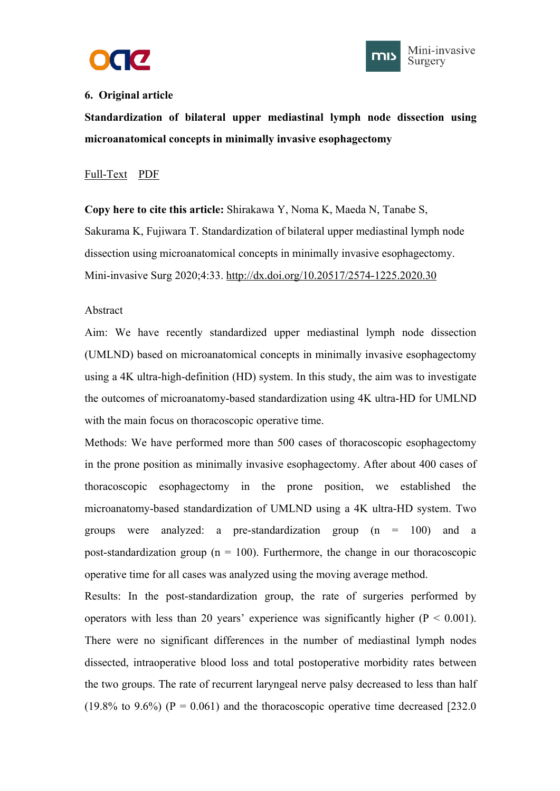



## <span id="page-8-1"></span><span id="page-8-0"></span>**6. Original article**

**Standardization of bilateral upper mediastinal lymph node dissection using microanatomical concepts in minimally invasive esophagectomy**

# [Full-Text](https://misjournal.net/article/view/3487) [PDF](https://oaepublishstorage.blob.core.windows.net/c3b2c80e-e927-4f98-867f-cad05e84b825/3487.pdf)

**Copy here to cite this article:** Shirakawa Y, Noma K, Maeda N, Tanabe S, Sakurama K, Fujiwara T. Standardization of bilateral upper mediastinal lymph node dissection using microanatomical concepts in minimally invasive esophagectomy. Mini-invasive Surg 2020;4:33. <http://dx.doi.org/10.20517/2574-1225.2020.30>

#### Abstract

Aim: We have recently standardized upper mediastinal lymph node dissection (UMLND) based on microanatomical concepts in minimally invasive esophagectomy using a 4K ultra-high-definition (HD) system. In this study, the aim was to investigate the outcomes of microanatomy-based standardization using 4K ultra-HD for UMLND with the main focus on thoracoscopic operative time.

Methods: We have performed more than 500 cases of thoracoscopic esophagectomy in the prone position as minimally invasive esophagectomy. After about 400 cases of thoracoscopic esophagectomy in the prone position, we established the microanatomy-based standardization of UMLND using a 4K ultra-HD system. Two groups were analyzed: a pre-standardization group (n = 100) and a post-standardization group ( $n = 100$ ). Furthermore, the change in our thoracoscopic operative time for all cases was analyzed using the moving average method.

Results: In the post-standardization group, the rate of surgeries performed by operators with less than 20 years' experience was significantly higher ( $P < 0.001$ ). There were no significant differences in the number of mediastinal lymph nodes dissected, intraoperative blood loss and total postoperative morbidity rates between the two groups. The rate of recurrent laryngeal nerve palsy decreased to less than half (19.8% to 9.6%) ( $P = 0.061$ ) and the thoracoscopic operative time decreased [232.0]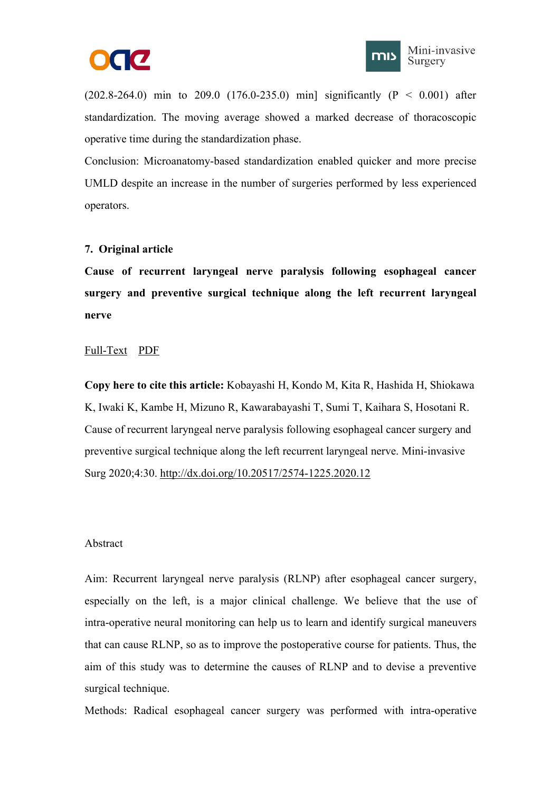



<span id="page-9-1"></span><span id="page-9-0"></span> $(202.8-264.0)$  min to 209.0  $(176.0-235.0)$  min] significantly  $(P < 0.001)$  after standardization. The moving average showed a marked decrease of thoracoscopic operative time during the standardization phase.

Conclusion: Microanatomy-based standardization enabled quicker and more precise UMLD despite an increase in the number of surgeries performed by less experienced operators.

# **7. Original article**

**Cause of recurrent laryngeal nerve paralysis following esophageal cancer surgery and preventive surgical technique along the left recurrent laryngeal nerve**

#### [Full-Text](https://misjournal.net/article/view/3466) [PDF](https://oaepublishstorage.blob.core.windows.net/00bdcccb-70fc-4c7d-8ce5-85f6a22c6f04/3466.pdf)

**Copy here to cite this article:** Kobayashi H, Kondo M, Kita R, Hashida H, Shiokawa K, Iwaki K, Kambe H, Mizuno R, Kawarabayashi T, Sumi T, Kaihara S, Hosotani R. Cause of recurrent laryngeal nerve paralysis following esophageal cancer surgery and preventive surgical technique along the left recurrent laryngeal nerve. Mini-invasive Surg 2020;4:30. <http://dx.doi.org/10.20517/2574-1225.2020.12>

#### Abstract

Aim: Recurrent laryngeal nerve paralysis (RLNP) after esophageal cancer surgery, especially on the left, is a major clinical challenge. We believe that the use of intra-operative neural monitoring can help us to learn and identify surgical maneuvers that can cause RLNP, so as to improve the postoperative course for patients. Thus, the aim of this study was to determine the causes of RLNP and to devise a preventive surgical technique.

Methods: Radical esophageal cancer surgery was performed with intra-operative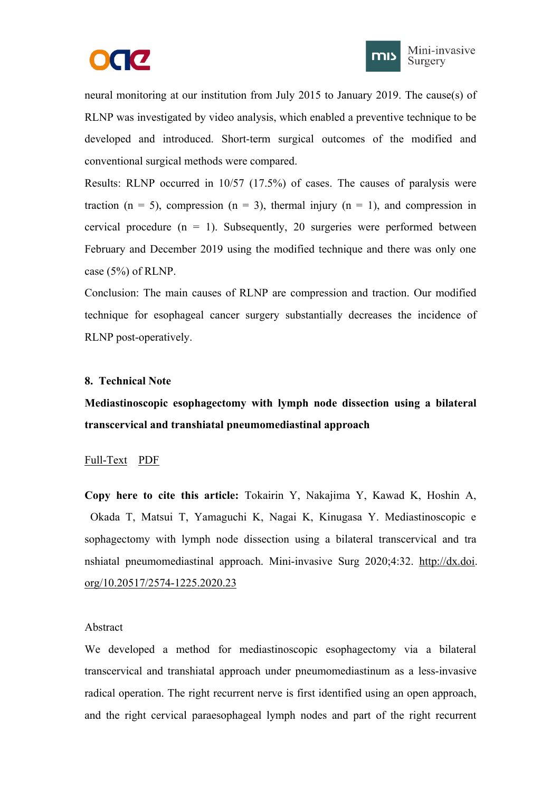



<span id="page-10-1"></span><span id="page-10-0"></span>neural monitoring at our institution from July 2015 to January 2019. The cause(s) of RLNP was investigated by video analysis, which enabled a preventive technique to be developed and introduced. Short-term surgical outcomes of the modified and conventional surgical methods were compared.

Results: RLNP occurred in 10/57 (17.5%) of cases. The causes of paralysis were traction (n = 5), compression (n = 3), thermal injury (n = 1), and compression in cervical procedure  $(n = 1)$ . Subsequently, 20 surgeries were performed between February and December 2019 using the modified technique and there was only one case (5%) of RLNP.

Conclusion: The main causes of RLNP are compression and traction. Our modified technique for esophageal cancer surgery substantially decreases the incidence of RLNP post-operatively.

#### **8. Technical Note**

**Mediastinoscopic esophagectomy with lymph node dissection using a bilateral transcervical and transhiatal pneumomediastinal approach**

#### [Full-Text](https://misjournal.net/article/view/3468) [PDF](https://oaepublishstorage.blob.core.windows.net/168916ab-f72f-41fb-96fb-aef815722391/3468.pdf)

**Copy here to cite this article:** Tokairin Y, Nakajima Y, Kawad K, Hoshin A, Okada T, Matsui T, Yamaguchi K, Nagai K, Kinugasa Y. Mediastinoscopic e sophagectomy with lymph node dissection using a bilateral transcervical and tra nshiatal pneumomediastinal approach. Mini-invasive Surg 2020;4:32. [http://dx.doi.](http://dx.doi.org/10.20517/2574-1225.2020.23) org/10.20517/2574-1225.2020.23

#### Abstract

We developed a method for mediastinoscopic esophagectomy via a bilateral transcervical and transhiatal approach under pneumomediastinum as a less-invasive radical operation. The right recurrent nerve is first identified using an open approach, and the right cervical paraesophageal lymph nodes and part of the right recurrent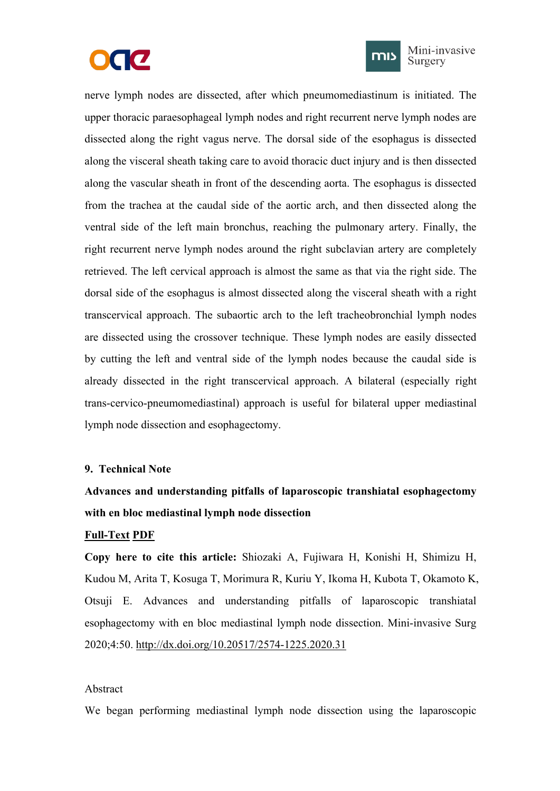



Mini-invasive Surgery

<span id="page-11-1"></span><span id="page-11-0"></span>nerve lymph nodes are dissected, after which pneumomediastinum is initiated. The upper thoracic paraesophageal lymph nodes and right recurrent nerve lymph nodes are dissected along the right vagus nerve. The dorsal side of the esophagus is dissected along the visceral sheath taking care to avoid thoracic duct injury and is then dissected along the vascular sheath in front of the descending aorta. The esophagus is dissected from the trachea at the caudal side of the aortic arch, and then dissected along the ventral side of the left main bronchus, reaching the pulmonary artery. Finally, the right recurrent nerve lymph nodes around the right subclavian artery are completely retrieved. The left cervical approach is almost the same as that via the right side. The dorsal side of the esophagus is almost dissected along the visceral sheath with a right transcervical approach. The subaortic arch to the left tracheobronchial lymph nodes are dissected using the crossover technique. These lymph nodes are easily dissected by cutting the left and ventral side of the lymph nodes because the caudal side is already dissected in the right transcervical approach. A bilateral (especially right trans-cervico-pneumomediastinal) approach is useful for bilateral upper mediastinal lymph node dissection and esophagectomy.

#### **9. Technical Note**

# **Advances and understanding pitfalls of laparoscopic transhiatal esophagectomy with en bloc mediastinal lymph node dissection**

#### **[Full-Text](https://misjournal.net/article/view/3593) [PDF](https://oaepublishstorage.blob.core.windows.net/b21f7d99-6eeb-4314-8d59-8313a80d10ef/3593.pdf)**

**Copy here to cite this article:** Shiozaki A, Fujiwara H, Konishi H, Shimizu H, Kudou M, Arita T, Kosuga T, Morimura R, Kuriu Y, Ikoma H, Kubota T, Okamoto K, Otsuji E. Advances and understanding pitfalls of laparoscopic transhiatal esophagectomy with en bloc mediastinal lymph node dissection. Mini-invasive Surg 2020;4:50. <http://dx.doi.org/10.20517/2574-1225.2020.31>

#### Abstract

We began performing mediastinal lymph node dissection using the laparoscopic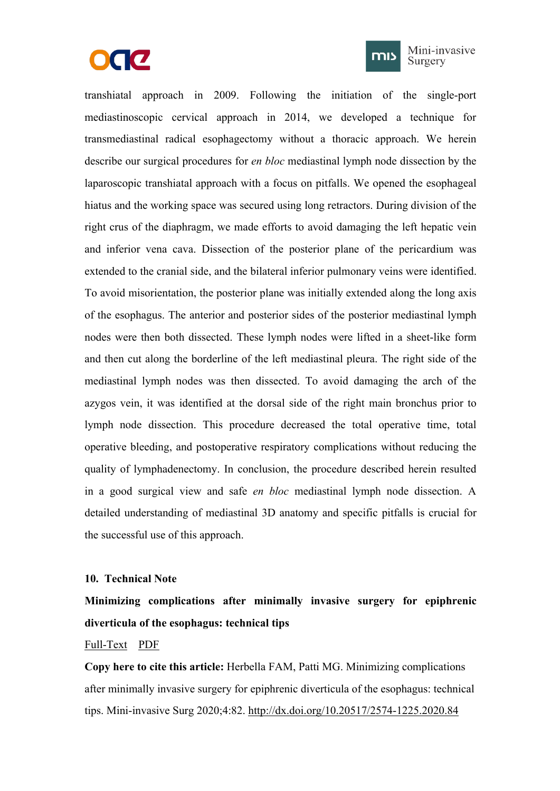



Mini-invasive Surgery

<span id="page-12-1"></span><span id="page-12-0"></span>transhiatal approach in 2009. Following the initiation of the single-port mediastinoscopic cervical approach in 2014, we developed a technique for transmediastinal radical esophagectomy without a thoracic approach. We herein describe our surgical procedures for *en bloc* mediastinal lymph node dissection by the laparoscopic transhiatal approach with a focus on pitfalls. We opened the esophageal hiatus and the working space was secured using long retractors. During division of the right crus of the diaphragm, we made efforts to avoid damaging the left hepatic vein and inferior vena cava. Dissection of the posterior plane of the pericardium was extended to the cranial side, and the bilateral inferior pulmonary veins were identified. To avoid misorientation, the posterior plane was initially extended along the long axis of the esophagus. The anterior and posterior sides of the posterior mediastinal lymph nodes were then both dissected. These lymph nodes were lifted in a sheet-like form and then cut along the borderline of the left mediastinal pleura. The right side of the mediastinal lymph nodes was then dissected. To avoid damaging the arch of the azygos vein, it was identified at the dorsal side of the right main bronchus prior to lymph node dissection. This procedure decreased the total operative time, total operative bleeding, and postoperative respiratory complications without reducing the quality of lymphadenectomy. In conclusion, the procedure described herein resulted in a good surgical view and safe *en bloc* mediastinal lymph node dissection. A detailed understanding of mediastinal 3D anatomy and specific pitfalls is crucial for the successful use of this approach.

#### **10. Technical Note**

**Minimizing complications after minimally invasive surgery for epiphrenic diverticula of the esophagus: technical tips**

# [Full-Text](https://misjournal.net/article/view/3756) [PDF](https://misjournal.net/article/download/3756)

**Copy here to cite this article:** Herbella FAM, Patti MG. Minimizing complications after minimally invasive surgery for epiphrenic diverticula of the esophagus: technical tips. Mini-invasive Surg 2020;4:82. <http://dx.doi.org/10.20517/2574-1225.2020.84>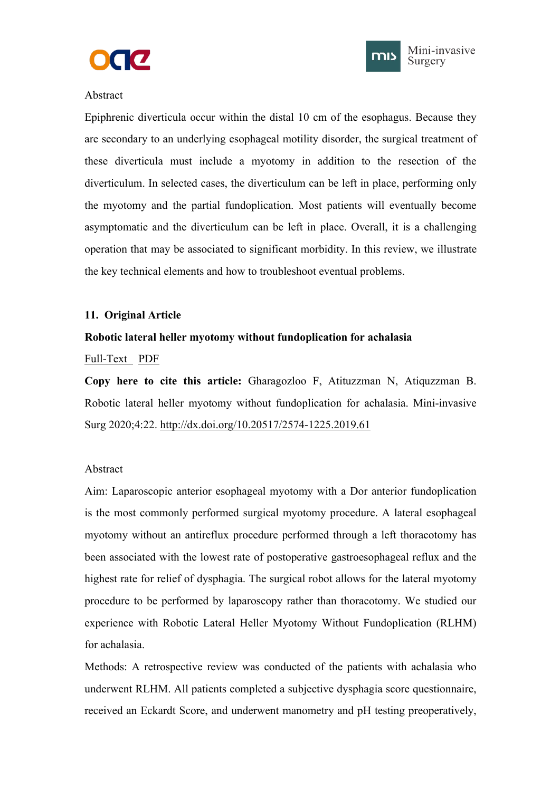



## <span id="page-13-1"></span><span id="page-13-0"></span>Abstract

Epiphrenic diverticula occur within the distal 10 cm of the esophagus. Because they are secondary to an underlying esophageal motility disorder, the surgical treatment of these diverticula must include a myotomy in addition to the resection of the diverticulum. In selected cases, the diverticulum can be left in place, performing only the myotomy and the partial fundoplication. Most patients will eventually become asymptomatic and the diverticulum can be left in place. Overall, it is a challenging operation that may be associated to significant morbidity. In this review, we illustrate the key technical elements and how to troubleshoot eventual problems.

# **11. Original Article**

# **Robotic lateral heller myotomy without fundoplication for achalasia**

#### [Full-Text](https://misjournal.net/article/view/3405) [PDF](https://oaepublishstorage.blob.core.windows.net/afd6e014-b8d1-42ab-ad5f-03f09f73259f/3405.pdf)

**Copy here to cite this article:** Gharagozloo F, Atituzzman N, Atiquzzman B. Robotic lateral heller myotomy without fundoplication for achalasia. Mini-invasive Surg 2020;4:22. <http://dx.doi.org/10.20517/2574-1225.2019.61>

#### Abstract

Aim: Laparoscopic anterior esophageal myotomy with a Dor anterior fundoplication is the most commonly performed surgical myotomy procedure. A lateral esophageal myotomy without an antireflux procedure performed through a left thoracotomy has been associated with the lowest rate of postoperative gastroesophageal reflux and the highest rate for relief of dysphagia. The surgical robot allows for the lateral myotomy procedure to be performed by laparoscopy rather than thoracotomy. We studied our experience with Robotic Lateral Heller Myotomy Without Fundoplication (RLHM) for achalasia.

Methods: A retrospective review was conducted of the patients with achalasia who underwent RLHM. All patients completed a subjective dysphagia score questionnaire, received an Eckardt Score, and underwent manometry and pH testing preoperatively,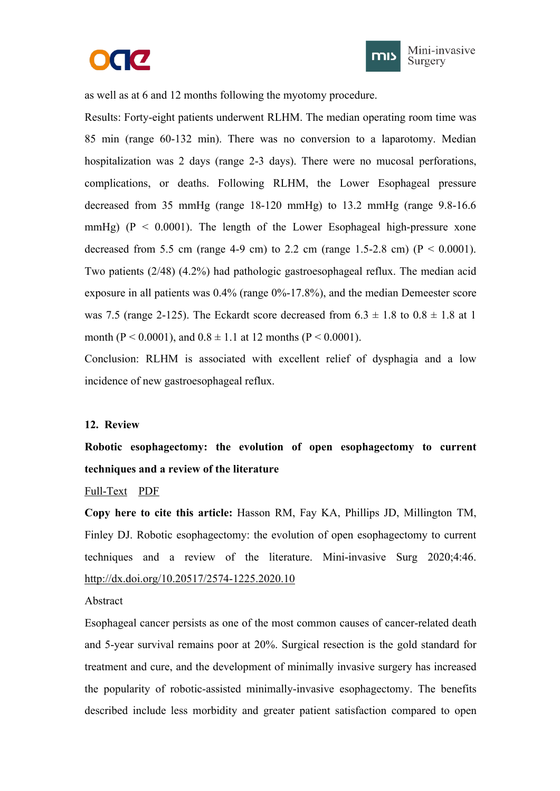



<span id="page-14-1"></span><span id="page-14-0"></span>as well as at 6 and 12 months following the myotomy procedure.

Results: Forty-eight patients underwent RLHM. The median operating room time was 85 min (range 60-132 min). There was no conversion to a laparotomy. Median hospitalization was 2 days (range 2-3 days). There were no mucosal perforations, complications, or deaths. Following RLHM, the Lower Esophageal pressure decreased from 35 mmHg (range 18-120 mmHg) to 13.2 mmHg (range 9.8-16.6 mmHg) ( $P < 0.0001$ ). The length of the Lower Esophageal high-pressure xone decreased from 5.5 cm (range 4-9 cm) to 2.2 cm (range 1.5-2.8 cm) ( $P < 0.0001$ ). Two patients (2/48) (4.2%) had pathologic gastroesophageal reflux. The median acid exposure in all patients was 0.4% (range 0%-17.8%), and the median Demeester score was 7.5 (range 2-125). The Eckardt score decreased from  $6.3 \pm 1.8$  to  $0.8 \pm 1.8$  at 1 month ( $P < 0.0001$ ), and  $0.8 \pm 1.1$  at 12 months ( $P < 0.0001$ ).

Conclusion: RLHM is associated with excellent relief of dysphagia and a low incidence of new gastroesophageal reflux.

#### **12. Review**

**Robotic esophagectomy: the evolution of open esophagectomy to current techniques and a review of the literature**

#### [Full-Text](https://misjournal.net/article/view/3568) [PDF](https://oaepublishstorage.blob.core.windows.net/fdd23025-d575-4154-9ce9-dd61f4ba99fa/3568.pdf)

**Copy here to cite this article:** Hasson RM, Fay KA, Phillips JD, Millington TM, Finley DJ. Robotic esophagectomy: the evolution of open esophagectomy to current techniques and a review of the literature. Mini-invasive Surg 2020;4:46. <http://dx.doi.org/10.20517/2574-1225.2020.10>

Abstract

Esophageal cancer persists as one of the most common causes of cancer-related death and 5-year survival remains poor at20%. Surgical resection is the gold standard for treatment and cure, and the development of minimally invasive surgery has increased the popularity of robotic-assisted minimally-invasive esophagectomy. The benefits described include less morbidity and greater patient satisfaction compared to open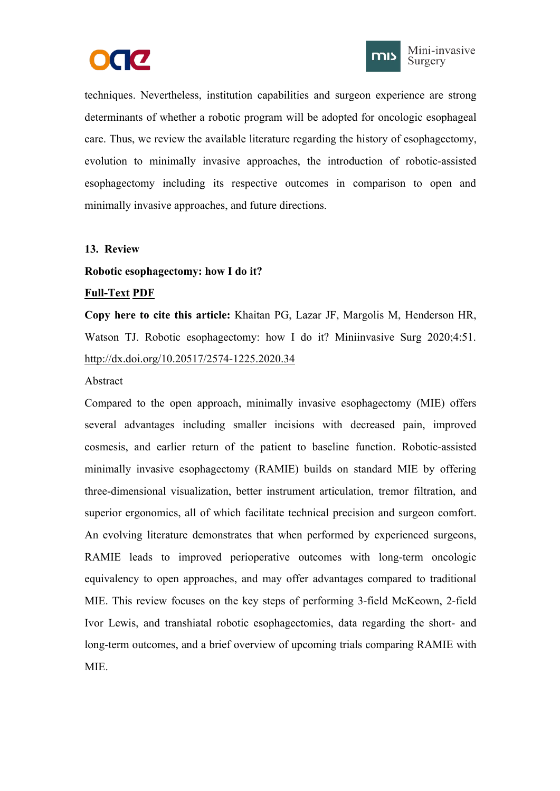



<span id="page-15-1"></span><span id="page-15-0"></span>techniques. Nevertheless, institution capabilities and surgeon experience are strong determinants of whether a robotic program will be adopted for oncologic esophageal care. Thus, we review the available literature regarding the history of esophagectomy, evolution to minimally invasive approaches, the introduction of robotic-assisted esophagectomy including its respective outcomes in comparison to open and minimally invasive approaches, and future directions.

#### **13. Review**

#### **Robotic esophagectomy: how I do it?**

#### **[Full-Text](https://misjournal.net/article/view/3594) [PDF](https://oaepublishstorage.blob.core.windows.net/138e8604-24f5-46cc-888a-61c3c1808f91/3594.pdf)**

**Copy** here to cite this article: Khaitan PG, Lazar JF, Margolis M, Henderson HR, Watson TJ. Robotic esophagectomy: how I do it? Miniinvasive Surg 2020;4:51. <http://dx.doi.org/10.20517/2574-1225.2020.34>

#### Abstract

Compared to the open approach, minimally invasive esophagectomy (MIE) offers several advantages including smaller incisions with decreased pain, improved cosmesis, and earlier return of the patient to baseline function. Robotic-assisted minimally invasive esophagectomy (RAMIE) builds on standard MIE by offering three-dimensional visualization, better instrument articulation, tremor filtration, and superior ergonomics, all of which facilitate technical precision and surgeon comfort. An evolving literature demonstrates that when performed by experienced surgeons, RAMIE leads to improved perioperative outcomes with long-term oncologic equivalency to open approaches, and may offer advantages compared to traditional MIE. This review focuses on the key steps of performing 3-field McKeown, 2-field Ivor Lewis, and transhiatal robotic esophagectomies, data regarding the short- and long-term outcomes, and a brief overview of upcoming trials comparing RAMIE with MIE.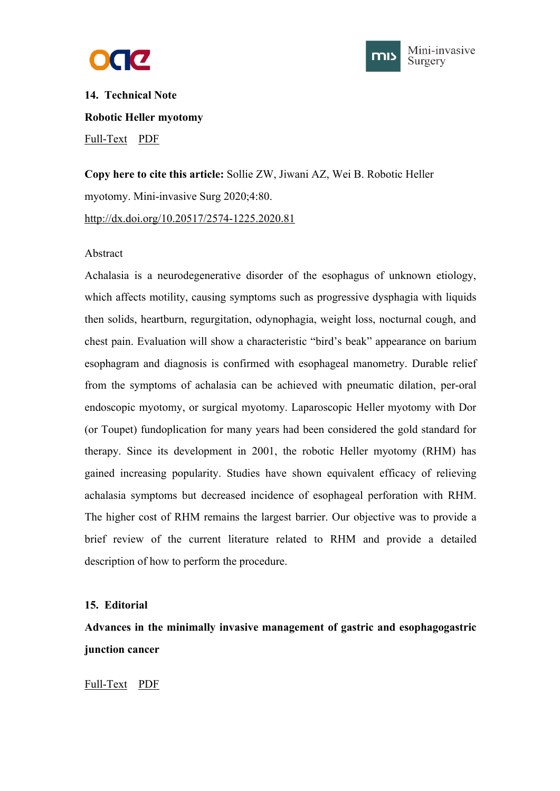



<span id="page-16-1"></span><span id="page-16-0"></span>**14. Technical Note Robotic Heller myotomy** [Full-Text](https://misjournal.net/article/view/3754) [PDF](https://misjournal.net/article/download/3754)

**Copy here to cite this article:** Sollie ZW, Jiwani AZ, Wei B. Robotic Heller myotomy. Mini-invasive Surg 2020;4:80. <http://dx.doi.org/10.20517/2574-1225.2020.81>

#### Abstract

Achalasia is a neurodegenerative disorder of the esophagus of unknown etiology, which affects motility, causing symptoms such as progressive dysphagia with liquids then solids, heartburn, regurgitation, odynophagia, weight loss, nocturnal cough, and chest pain. Evaluation will show a characteristic "bird's beak" appearance on barium esophagram and diagnosis is confirmed with esophageal manometry. Durable relief from the symptoms of achalasia can be achieved with pneumatic dilation, per-oral endoscopic myotomy, or surgical myotomy. Laparoscopic Heller myotomy with Dor (or Toupet) fundoplication for many years had been considered the gold standard for therapy. Since its development in 2001, the robotic Heller myotomy (RHM) has gained increasing popularity. Studies have shown equivalent efficacy of relieving achalasia symptoms but decreased incidence of esophageal perforation with RHM. The higher cost of RHM remains the largest barrier. Our objective was to provide a brief review of the current literature related to RHM and provide a detailed description of how to perform the procedure.

#### **15. Editorial**

**Advances in the minimally invasive management of gastric and esophagogastric junction cancer**

[Full-Text](https://misjournal.net/article/view/3219) [PDF](https://oaepublishstorage.blob.core.windows.net/ebac7090-56dc-4301-8bd2-8ed2a2609c7a/3219.pdf)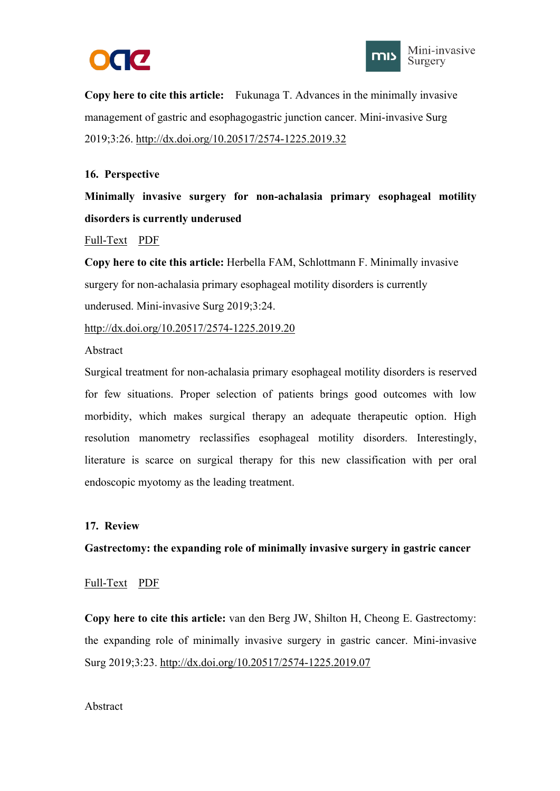



<span id="page-17-1"></span><span id="page-17-0"></span>**Copy here to cite this article:** Fukunaga T. Advances in the minimally invasive management of gastric and esophagogastric junction cancer. Mini-invasive Surg 2019;3:26. <http://dx.doi.org/10.20517/2574-1225.2019.32>

# **16. Perspective**

**Minimally invasive surgery for non-achalasia primary esophageal motility disorders is currently underused**

#### [Full-Text](https://misjournal.net/article/view/3190) [PDF](https://oaepublishstorage.blob.core.windows.net/3c9c7129-5e45-4c3d-9462-04bd2a63ff95/3190.pdf)

**Copy here to cite this article:** Herbella FAM, Schlottmann F. Minimally invasive surgery for non-achalasia primary esophageal motility disorders is currently underused. Mini-invasive Surg 2019;3:24.

<http://dx.doi.org/10.20517/2574-1225.2019.20>

Abstract

Surgical treatment for non-achalasia primary esophageal motility disorders is reserved for few situations. Proper selection of patients brings good outcomes with low morbidity, which makes surgical therapy an adequate therapeutic option. High resolution manometry reclassifies esophageal motility disorders. Interestingly, literature is scarce on surgical therapy for this new classification with per oral endoscopic myotomy as the leading treatment.

#### **17. Review**

**Gastrectomy: the expanding role of minimally invasive surgery in gastric cancer**

#### [Full-Text](https://misjournal.net/article/view/3176) [PDF](https://oaepublishstorage.blob.core.windows.net/fd259cd7-74d9-42fc-a166-12f30514b8c1/3176.pdf)

**Copy here to cite this article:** van den Berg JW, Shilton H, Cheong E. Gastrectomy: the expanding role of minimally invasive surgery in gastric cancer. Mini-invasive Surg 2019;3:23. <http://dx.doi.org/10.20517/2574-1225.2019.07>

#### Abstract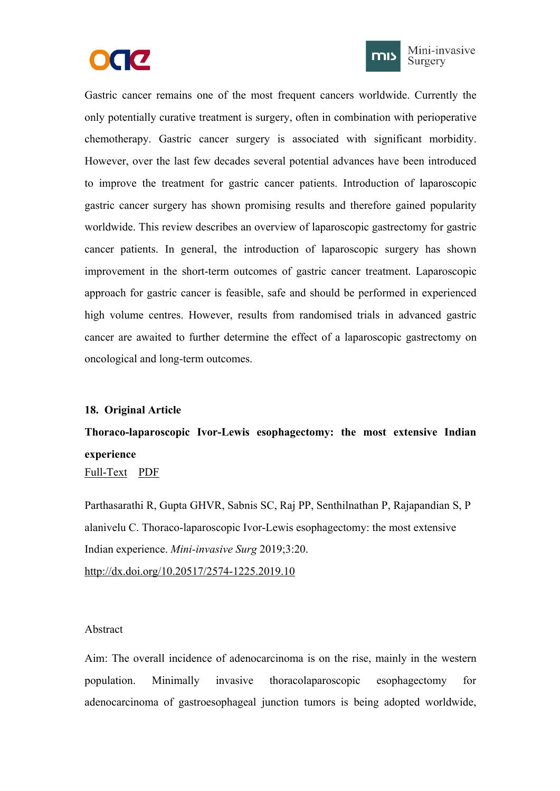



<span id="page-18-1"></span><span id="page-18-0"></span>Gastric cancer remains one of the most frequent cancers worldwide. Currently the only potentially curative treatment is surgery, often in combination with perioperative chemotherapy. Gastric cancer surgery is associated with significant morbidity. However, over the last few decades several potential advances have been introduced to improve the treatment for gastric cancer patients. Introduction of laparoscopic gastric cancer surgery has shown promising results and therefore gained popularity worldwide. This review describes an overview of laparoscopic gastrectomy for gastric cancer patients. In general, the introduction of laparoscopic surgery has shown improvement in the short-term outcomes of gastric cancer treatment. Laparoscopic approach for gastric cancer is feasible, safe and should be performed in experienced high volume centres. However, results from randomised trials in advanced gastric cancer are awaited to further determine the effect of a laparoscopic gastrectomy on oncological and long-term outcomes.

#### **18. Original Article**

# **Thoraco-laparoscopic Ivor-Lewis esophagectomy: the most extensive Indian experience**

[Full-Text](https://misjournal.net/article/view/3157) [PDF](https://oaepublishstorage.blob.core.windows.net/a9a35aae-fcb4-46aa-869c-06b782aba787/3157.pdf)

Parthasarathi R, Gupta GHVR, Sabnis SC, Raj PP, Senthilnathan P, Rajapandian S, P alanivelu C. Thoraco-laparoscopic Ivor-Lewis esophagectomy: the most extensive Indian experience. *Mini-invasive Surg* 2019;3:20. <http://dx.doi.org/10.20517/2574-1225.2019.10>

#### Abstract

Aim: The overall incidence of adenocarcinoma is on the rise, mainly in the western population. Minimally invasive thoracolaparoscopic esophagectomy for adenocarcinoma of gastroesophageal junction tumors is being adopted worldwide,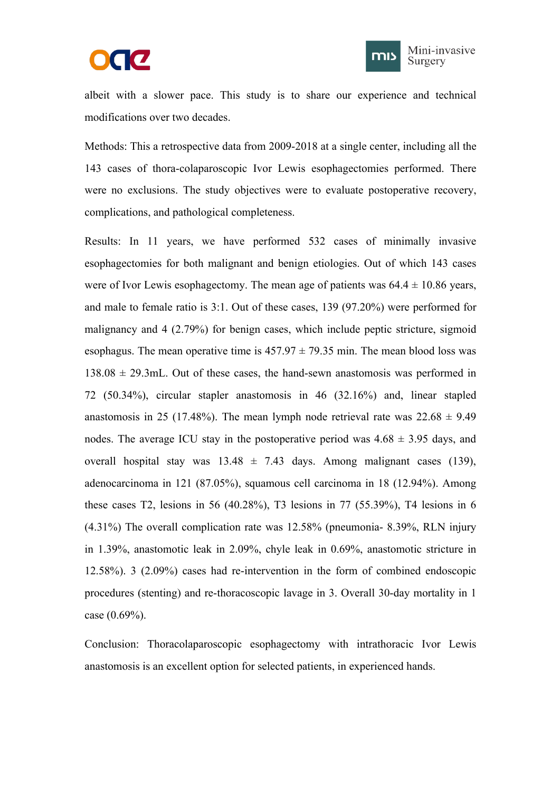



albeit with a slower pace. This study is to share our experience and technical modifications over two decades.

Methods: This a retrospective data from 2009-2018 at a single center, including all the 143 cases of thora-colaparoscopic Ivor Lewis esophagectomies performed. There were no exclusions. The study objectives were to evaluate postoperative recovery, complications, and pathological completeness.

Results: In 11 years, we have performed 532 cases of minimally invasive esophagectomies for both malignant and benign etiologies. Out of which 143 cases were of Ivor Lewis esophagectomy. The mean age of patients was  $64.4 \pm 10.86$  years, and male to female ratio is 3:1. Out of these cases, 139 (97.20%) were performed for malignancy and 4 (2.79%) for benign cases, which include peptic stricture, sigmoid esophagus. The mean operative time is  $457.97 \pm 79.35$  min. The mean blood loss was  $138.08 \pm 29.3$  mL. Out of these cases, the hand-sewn anastomosis was performed in 72 (50.34%), circular stapler anastomosis in 46 (32.16%) and, linear stapled anastomosis in 25 (17.48%). The mean lymph node retrieval rate was  $22.68 \pm 9.49$ nodes. The average ICU stay in the postoperative period was  $4.68 \pm 3.95$  days, and overall hospital stay was  $13.48 \pm 7.43$  days. Among malignant cases (139), adenocarcinoma in 121 (87.05%), squamous cell carcinoma in 18 (12.94%). Among these cases T2, lesions in 56 (40.28%), T3 lesions in 77 (55.39%), T4 lesions in 6 (4.31%) The overall complication rate was 12.58% (pneumonia- 8.39%, RLN injury in 1.39%, anastomotic leak in 2.09%, chyle leak in 0.69%, anastomotic stricture in 12.58%). 3 (2.09%) cases had re-intervention in the form of combined endoscopic procedures (stenting) and re-thoracoscopic lavage in 3. Overall 30-day mortality in 1 case (0.69%).

Conclusion: Thoracolaparoscopic esophagectomy with intrathoracic Ivor Lewis anastomosis is an excellent option for selected patients, in experienced hands.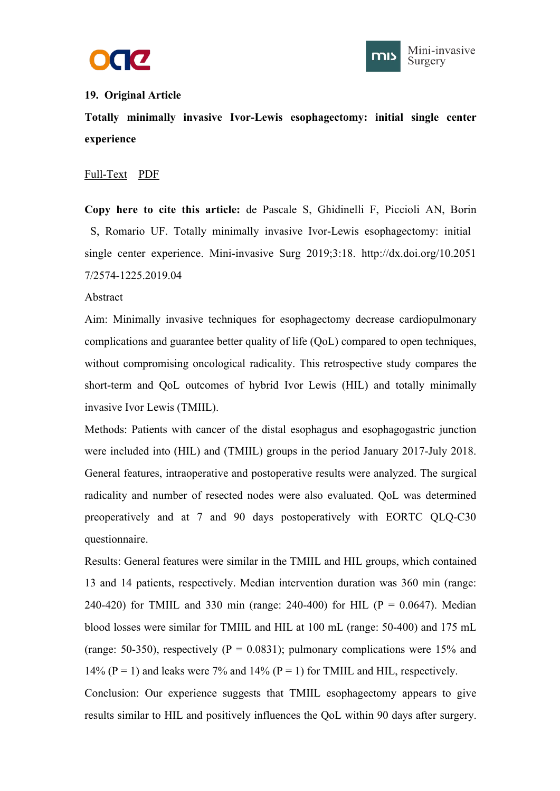



# <span id="page-20-1"></span><span id="page-20-0"></span>**19. Original Article**

**Totally minimally invasive Ivor-Lewis esophagectomy: initial single center experience**

#### [Full-Text](https://misjournal.net/article/view/3122) [PDF](https://oaepublishstorage.blob.core.windows.net/5fc9bf75-6581-4a1c-a644-e497e5947506/3122.pdf)

**Copy here to cite this article:** de Pascale S, Ghidinelli F, Piccioli AN, Borin S, Romario UF. Totally minimally invasive Ivor-Lewis esophagectomy: initial single center experience. Mini-invasive Surg 2019;3:18. http://dx.doi.org/10.2051 7/2574-1225.2019.04

#### Abstract

Aim: Minimally invasive techniques for esophagectomy decrease cardiopulmonary complications and guarantee better quality of life (QoL) compared to open techniques, without compromising oncological radicality. This retrospective study compares the short-term and QoL outcomes of hybrid Ivor Lewis (HIL) and totally minimally invasive Ivor Lewis (TMIIL).

Methods: Patients with cancer of the distal esophagus and esophagogastric junction were included into (HIL) and (TMIIL) groups in the period January 2017-July 2018. General features, intraoperative and postoperative results were analyzed. The surgical radicality and number of resected nodes were also evaluated. QoL was determined preoperatively and at 7 and 90 days postoperatively with EORTC QLQ-C30 questionnaire.

Results: General features were similar in the TMIIL and HIL groups, which contained 13 and 14 patients, respectively. Median intervention duration was 360 min (range: 240-420) for TMIIL and 330 min (range: 240-400) for HIL ( $P = 0.0647$ ). Median blood losses were similar for TMIIL and HIL at 100 mL (range: 50-400) and 175 mL (range: 50-350), respectively ( $P = 0.0831$ ); pulmonary complications were 15% and 14% (P = 1) and leaks were 7% and 14% (P = 1) for TMIIL and HIL, respectively. Conclusion: Our experience suggests that TMIIL esophagectomy appears to give results similar to HIL and positively influences the QoL within 90 daysafter surgery.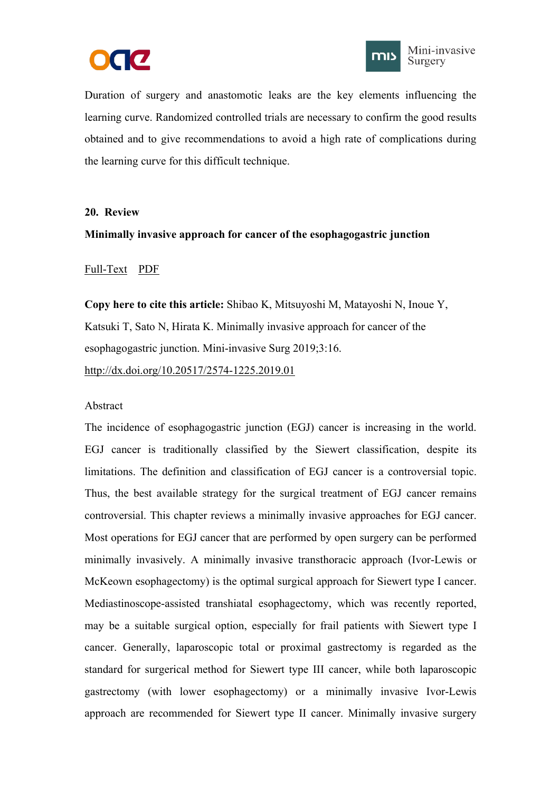



<span id="page-21-1"></span><span id="page-21-0"></span>Duration of surgery and anastomotic leaks are the key elements influencing the learning curve. Randomized controlled trials are necessary to confirm the good results obtained and to give recommendations to avoid a high rate of complications during the learning curve for this difficult technique.

#### **20. Review**

#### **Minimally invasive approach for cancer of the esophagogastric junction**

#### [Full-Text](https://misjournal.net/article/view/3112) [PDF](https://oaepublishstorage.blob.core.windows.net/976c8284-1411-453a-ad5b-0022845869d1/3112.pdf)

**Copy here to cite this article:** Shibao K, Mitsuyoshi M, Matayoshi N, Inoue Y, Katsuki T, Sato N, Hirata K. Minimally invasive approach for cancer of the esophagogastric junction. Mini-invasive Surg 2019;3:16. <http://dx.doi.org/10.20517/2574-1225.2019.01>

#### Abstract

The incidence of esophagogastric junction (EGJ) cancer is increasing in the world. EGJ cancer is traditionally classified by the Siewert classification, despite its limitations. The definition and classification of EGJ cancer is a controversial topic. Thus, the best available strategy for the surgical treatment of EGJ cancer remains controversial. This chapter reviews a minimally invasive approaches for EGJ cancer. Most operations for EGJ cancer that are performed by open surgery can be performed minimally invasively. A minimally invasive transthoracic approach (Ivor-Lewis or McKeown esophagectomy) is the optimal surgical approach for Siewert type I cancer. Mediastinoscope-assisted transhiatal esophagectomy, which was recently reported, may be a suitable surgical option, especially for frail patients with Siewert type I cancer. Generally, laparoscopic total or proximal gastrectomy is regarded as the standard for surgerical method for Siewert type III cancer, while both laparoscopic gastrectomy (with lower esophagectomy) or a minimally invasive Ivor-Lewis approach are recommended for Siewert type II cancer. Minimally invasive surgery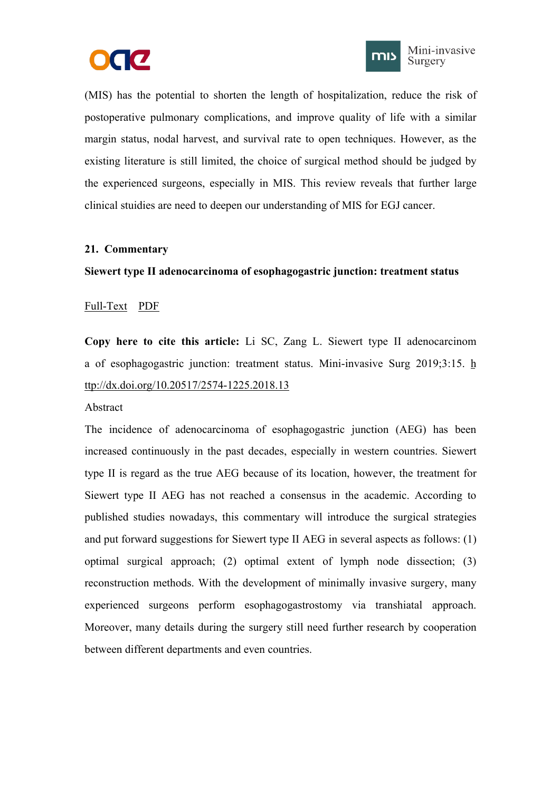



<span id="page-22-1"></span><span id="page-22-0"></span>(MIS) has the potential to shorten the length of hospitalization, reduce the risk of postoperative pulmonary complications, and improve quality of life with a similar margin status, nodal harvest, and survival rate to open techniques. However, as the existing literature is still limited, the choice of surgical method should be judged by the experienced surgeons, especially in MIS. This review reveals that further large clinical stuidies are need to deepen our understanding of MIS for EGJ cancer.

# **21. Commentary**

# **Siewert type IIadenocarcinoma of esophagogastric junction: treatment status**

# [Full-Text](https://misjournal.net/article/view/3082) [PDF](https://oaepublishstorage.blob.core.windows.net/346c722b-a7da-41ed-a734-e4b8fc4a62e5/3082.pdf)

**Copy here to cite this article:** Li SC, Zang L. Siewert type II adenocarcinom a of esophagogastric junction: treatment status. Mini-invasive Surg 2019;3:15. [h](http://dx.doi.org/10.20517/2574-1225.2018.13) ttp://dx.doi.org/10.20517/2574-1225.2018.13

#### Abstract

The incidence of adenocarcinoma of esophagogastric junction (AEG) has been increased continuously in the past decades, especially in western countries. Siewert type II is regard as the true AEG because of its location, however, the treatment for Siewert type II AEG has not reached a consensus in the academic. According to published studies nowadays, this commentary will introduce the surgical strategies and put forward suggestions for Siewert type II AEG in several aspects as follows: (1) optimal surgical approach; (2) optimal extent of lymph node dissection; (3) reconstruction methods. With the development of minimally invasive surgery, many experienced surgeons perform esophagogastrostomy via transhiatal approach. Moreover, many details during the surgery still need further research by cooperation between different departments and even countries.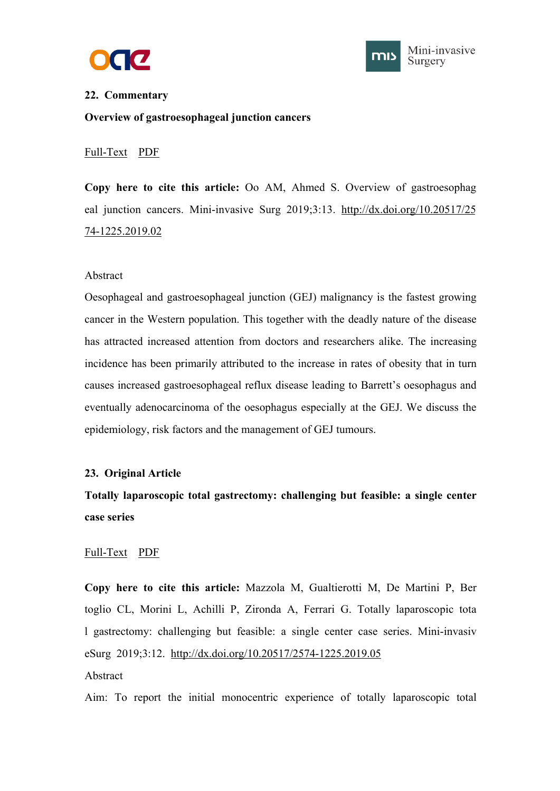



#### <span id="page-23-1"></span><span id="page-23-0"></span>**22. Commentary**

**Overview of gastroesophageal junction cancers**

#### [Full-Text](https://misjournal.net/article/view/3068) [PDF](https://oaepublishstorage.blob.core.windows.net/1463f3d3-8fd0-4137-b0e4-1c2041f9dd0b/3068.pdf)

**Copy here to cite this article:** Oo AM, Ahmed S. Overview of gastroesophag eal junction cancers. Mini-invasive Surg 2019;3:13. [http://dx.doi.org/10.20517/25](http://dx.doi.org/10.20517/2574-1225.2019.02) 74-1225.2019.02

#### Abstract

Oesophageal and gastroesophageal junction (GEJ) malignancy is the fastest growing cancer in the Western population. This together with the deadly nature of the disease has attracted increased attention from doctors and researchers alike. The increasing incidence has been primarily attributed to the increase in rates of obesity that in turn causes increased gastroesophageal reflux disease leading to Barrett's oesophagus and eventually adenocarcinoma of the oesophagus especially at the GEJ. We discuss the epidemiology, risk factors and the management of GEJ tumours.

#### **23. Original Article**

# **Totally laparoscopic total gastrectomy: challenging but feasible: a single center case series**

#### [Full-Text](https://misjournal.net/article/view/3051) [PDF](https://oaepublishstorage.blob.core.windows.net/8dd620fb-a269-45d5-9800-3b3ecccc274b/3051.pdf)

**Copy here to cite this article:** Mazzola M, Gualtierotti M, De Martini P, Ber toglio CL, Morini L, Achilli P, Zironda A, Ferrari G. Totally laparoscopic tota l gastrectomy: challenging but feasible: a single center case series. Mini-invasiv eSurg 2019;3:12. <http://dx.doi.org/10.20517/2574-1225.2019.05>

#### Abstract

Aim: To report the initial monocentric experience of totally laparoscopic total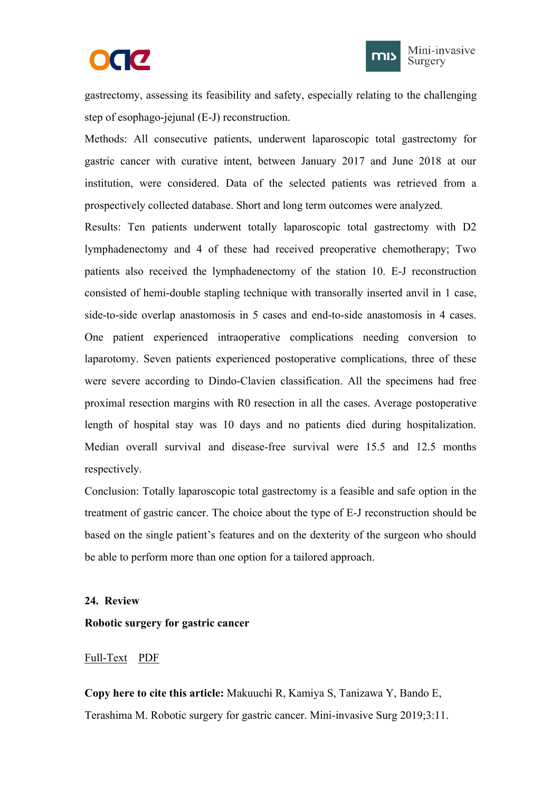



<span id="page-24-1"></span><span id="page-24-0"></span>gastrectomy, assessing its feasibility and safety, especially relating to the challenging step of esophago-jejunal (E-J) reconstruction.

Methods: All consecutive patients, underwent laparoscopic total gastrectomy for gastric cancer with curative intent, between January 2017 and June 2018 at our institution, were considered. Data of the selected patients was retrieved from a prospectively collected database. Short and long term outcomes were analyzed.

Results: Ten patients underwent totally laparoscopic total gastrectomy with D2 lymphadenectomy and 4 of these had received preoperative chemotherapy; Two patients also received the lymphadenectomy of the station 10. E-J reconstruction consisted of hemi-double stapling technique with transorally inserted anvil in 1 case, side-to-side overlap anastomosis in 5 cases and end-to-side anastomosis in 4 cases. One patient experienced intraoperative complications needing conversion to laparotomy. Seven patients experienced postoperative complications, three of these were severe according to Dindo-Clavien classification. All the specimens had free proximal resection margins with R0 resection in all the cases. Average postoperative length of hospital stay was 10 days and no patients died during hospitalization. Median overall survival and disease-free survival were 15.5 and 12.5 months respectively.

Conclusion: Totally laparoscopic total gastrectomy is a feasible and safe option in the treatment of gastric cancer. The choice about the type of E-J reconstruction should be based on the single patient's features and on the dexterity of the surgeon who should be able to perform more than one option for a tailored approach.

#### **24. Review**

#### **Robotic surgery for gastric cancer**

#### [Full-Text](https://misjournal.net/article/view/3044) [PDF](https://oaepublishstorage.blob.core.windows.net/63cb7331-aab5-4fcc-a8fc-24152e6fa9f0/3044.pdf)

**Copy here to cite this article:** Makuuchi R, Kamiya S, Tanizawa Y, Bando E, Terashima M. Robotic surgery for gastric cancer. Mini-invasive Surg 2019;3:11.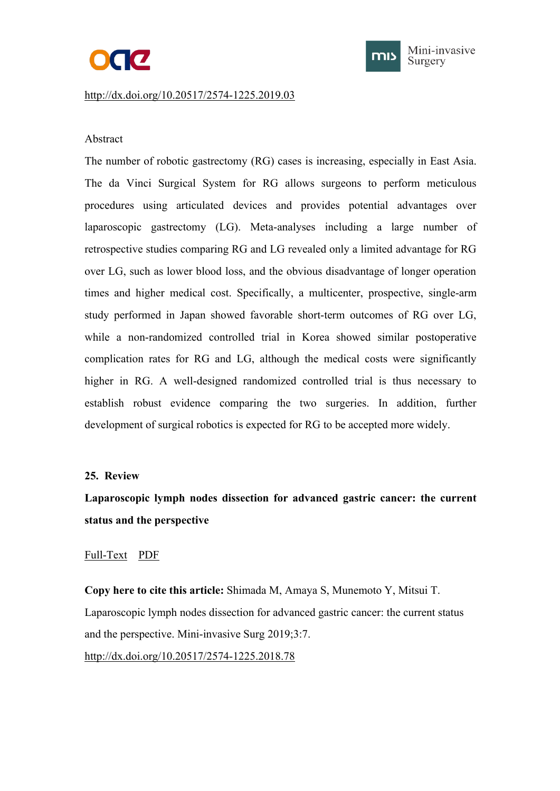# **OGC**



#### <span id="page-25-1"></span><span id="page-25-0"></span><http://dx.doi.org/10.20517/2574-1225.2019.03>

## Abstract

The number of robotic gastrectomy (RG) cases is increasing, especially in East Asia. The da Vinci Surgical System for RG allows surgeons to perform meticulous procedures using articulated devices and provides potential advantages over laparoscopic gastrectomy (LG). Meta-analyses including a large number of retrospective studies comparing RG and LG revealed only a limited advantage for RG over LG, such as lower blood loss, and the obvious disadvantage of longer operation times and higher medical cost. Specifically, a multicenter, prospective, single-arm study performed in Japan showed favorable short-term outcomes of RG over LG, while a non-randomized controlled trial in Korea showed similar postoperative complication rates for RG and LG, although the medical costs were significantly higher in RG. A well-designed randomized controlled trial is thus necessary to establish robust evidence comparing the two surgeries. In addition, further development of surgical robotics is expected for RG to be accepted more widely.

#### **25. Review**

# **Laparoscopic lymph nodes dissection for advanced gastric cancer: the current status and the perspective**

# [Full-Text](https://misjournal.net/article/view/3020) [PDF](https://oaepublishstorage.blob.core.windows.net/90e218ae-eee4-4d90-8654-00c2b7ae176d/3020.pdf)

**Copy here to cite this article:** Shimada M, Amaya S, Munemoto Y, Mitsui T. Laparoscopic lymph nodes dissection for advanced gastric cancer: the current status and the perspective. Mini-invasive Surg 2019;3:7. <http://dx.doi.org/10.20517/2574-1225.2018.78>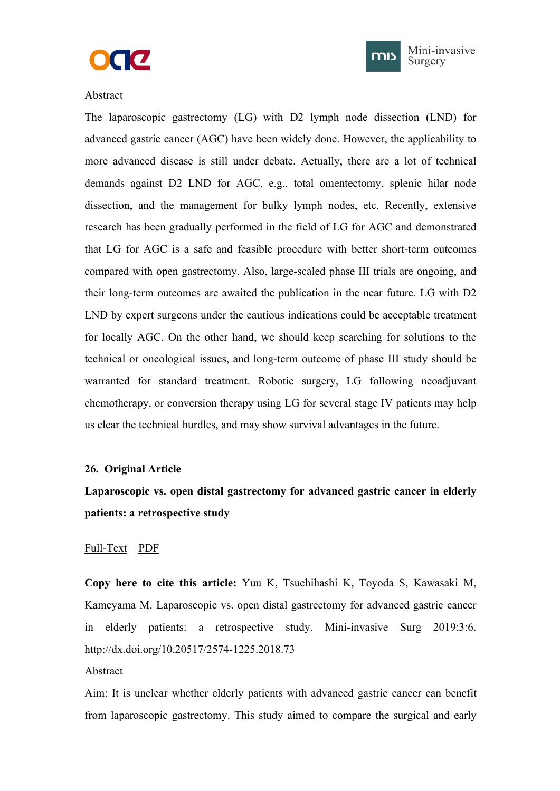



#### <span id="page-26-1"></span><span id="page-26-0"></span>Abstract

The laparoscopic gastrectomy (LG) with D2 lymph node dissection (LND) for advanced gastric cancer (AGC) have been widely done. However, the applicability to more advanced disease is still under debate. Actually, there are a lot of technical demands against D2 LND for AGC, e.g., total omentectomy, splenic hilar node dissection, and the management for bulky lymph nodes, etc. Recently, extensive research has been gradually performed in the field of LG for AGC and demonstrated that LG for AGC is a safe and feasible procedure with better short-term outcomes compared with open gastrectomy. Also, large-scaled phase III trials are ongoing, and their long-term outcomes are awaited the publication in the near future. LG with D2 LND by expert surgeons under the cautious indications could be acceptable treatment for locally AGC. On the other hand, we should keep searching for solutions to the technical or oncological issues, and long-term outcome of phase III study should be warranted for standard treatment. Robotic surgery, LG following neoadjuvant chemotherapy, or conversion therapy using LG for several stage IV patients may help us clear the technical hurdles, and may show survival advantages in the future.

#### **26. Original Article**

# **Laparoscopic vs. open distal gastrectomy for advanced gastric cancer in elderly patients: a retrospective study**

#### [Full-Text](https://misjournal.net/article/view/3002) [PDF](https://oaepublishstorage.blob.core.windows.net/9d9e549e-0021-491e-ae87-0e5cc6d73227/3002.pdf)

**Copy here to cite this article:** Yuu K, Tsuchihashi K, Toyoda S, Kawasaki M, Kameyama M. Laparoscopic vs. open distal gastrectomy for advanced gastric cancer in elderly patients: a retrospective study. Mini-invasive Surg 2019;3:6. <http://dx.doi.org/10.20517/2574-1225.2018.73>

#### Abstract

Aim: It is unclear whether elderly patients with advanced gastric cancer can benefit from laparoscopic gastrectomy. This study aimed to compare the surgical and early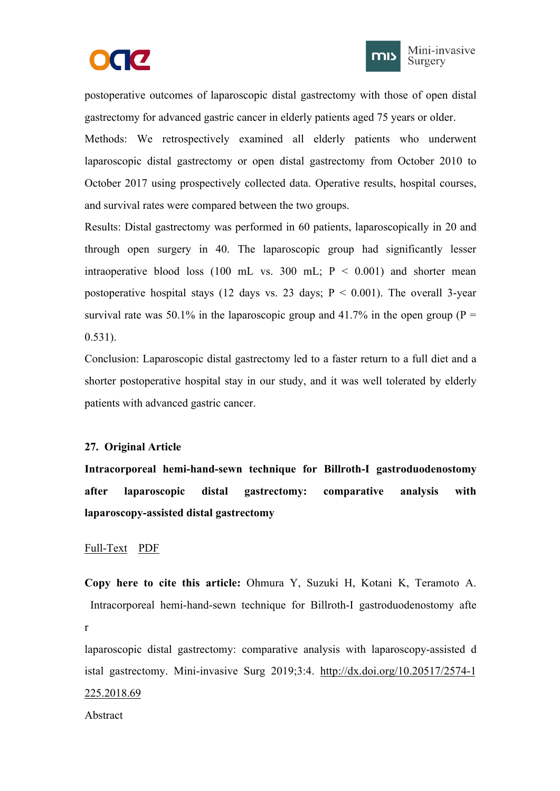



<span id="page-27-1"></span><span id="page-27-0"></span>postoperative outcomes of laparoscopic distal gastrectomy with those of open distal gastrectomy for advanced gastric cancer in elderly patients aged 75 years orolder.

Methods: We retrospectively examined all elderly patients who underwent laparoscopic distal gastrectomy or open distal gastrectomy from October 2010 to October 2017 using prospectively collected data. Operative results, hospital courses, and survival rates were compared between the two groups.

Results: Distal gastrectomy was performed in 60 patients, laparoscopically in 20 and through open surgery in 40. The laparoscopic group had significantly lesser intraoperative blood loss (100 mL vs. 300 mL;  $P < 0.001$ ) and shorter mean postoperative hospital stays (12 days vs. 23 days;  $P < 0.001$ ). The overall 3-year survival rate was 50.1% in the laparoscopic group and 41.7% in the open group ( $P =$ 0.531).

Conclusion: Laparoscopic distal gastrectomy led to a faster return to a full diet and a shorter postoperative hospital stay in our study, and it was well tolerated by elderly patients with advanced gastric cancer.

# **27. Original Article**

**Intracorporeal hemi-hand-sewn technique for Billroth-I gastroduodenostomy after laparoscopic distal gastrectomy: comparative analysis with laparoscopy-assisted distal gastrectomy**

#### [Full-Text](https://misjournal.net/article/view/2986) [PDF](https://oaepublishstorage.blob.core.windows.net/dee769d6-4034-4034-b4e2-46fe208ef7a8/2986.pdf)

**Copy here to cite this article:** Ohmura Y, Suzuki H, Kotani K, Teramoto A. Intracorporeal hemi-hand-sewn technique for Billroth-I gastroduodenostomy afte r and the state of the state of the state of the state of the state of the state of the state of the state of the state of the state of the state of the state of the state of the state of the state of the state of the stat

laparoscopic distal gastrectomy: comparative analysis with laparoscopy-assisted d istal gastrectomy. Mini-invasive Surg 2019;3:4. [http://dx.doi.org/10.20517/2574-1](http://dx.doi.org/10.20517/2574-1225.2018.69) 225.2018.69

Abstract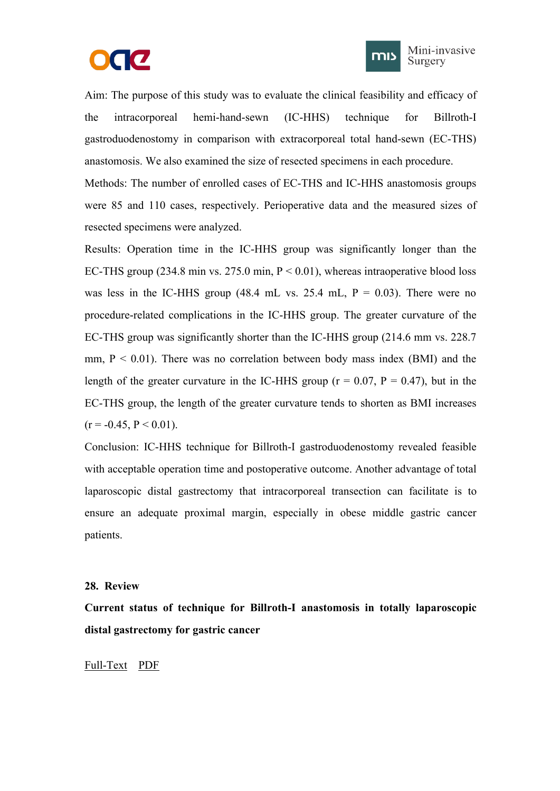



<span id="page-28-1"></span><span id="page-28-0"></span>Aim: The purpose of this study was to evaluate the clinical feasibility and efficacy of the intracorporeal hemi-hand-sewn (IC-HHS) technique for Billroth-I gastroduodenostomy in comparison with extracorporeal total hand-sewn (EC-THS) anastomosis. We also examined the size of resected specimens in each procedure. Methods: The number of enrolled cases of EC-THS and IC-HHS anastomosis groups were 85 and 110 cases, respectively. Perioperative data and the measured sizes of resected specimens were analyzed.

Results: Operation time in the IC-HHS group wassignificantly longer than the EC-THS group (234.8 min vs. 275.0 min,  $P < 0.01$ ), whereas intraoperative blood loss was less in the IC-HHS group (48.4 mL vs. 25.4 mL,  $P = 0.03$ ). There were no procedure-related complications in the IC-HHS group. The greater curvature of the EC-THS group was significantly shorter than the IC-HHS group (214.6 mm vs. 228.7 mm,  $P < 0.01$ ). There was no correlation between body mass index (BMI) and the length of the greater curvature in the IC-HHS group ( $r = 0.07$ ,  $P = 0.47$ ), but in the EC-THS group, the length of the greater curvature tends to shorten as BMI increases  $(r = -0.45, P \le 0.01)$ .

Conclusion: IC-HHS technique for Billroth-I gastroduodenostomy revealed feasible with acceptable operation time and postoperative outcome. Another advantage of total laparoscopic distal gastrectomy that intracorporeal transection can facilitate is to ensure an adequate proximal margin, especially in obese middle gastric cancer patients.

#### **28. Review**

**Current status of technique for Billroth-I anastomosis in totally laparoscopic distal gastrectomy for gastric cancer**

#### [Full-Text](https://misjournal.net/article/view/2946) [PDF](https://oaepublishstorage.blob.core.windows.net/09291281-fd2f-411d-ac84-ec5483913a9a/2946.pdf)